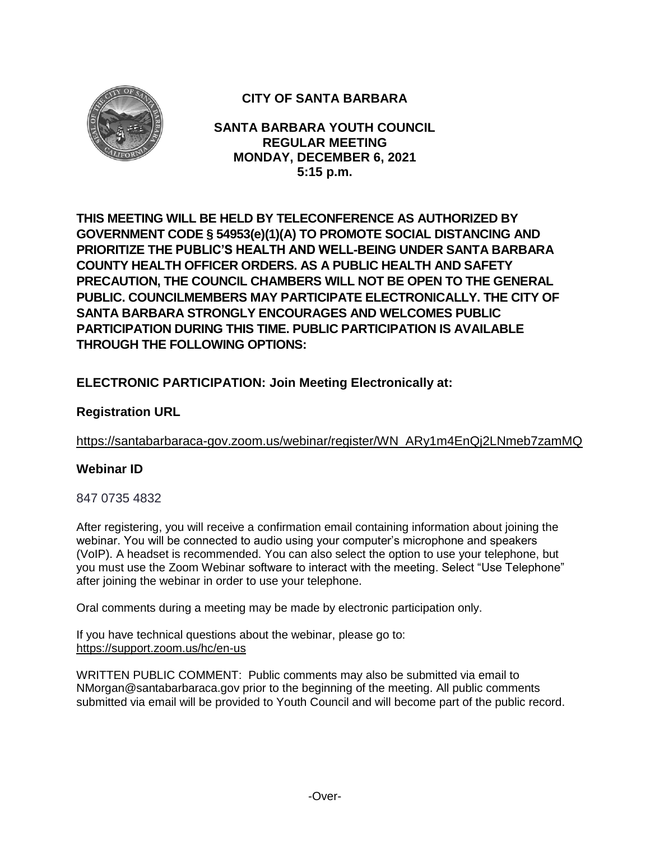

# **CITY OF SANTA BARBARA**

**SANTA BARBARA YOUTH COUNCIL REGULAR MEETING MONDAY, DECEMBER 6, 2021 5:15 p.m.**

**THIS MEETING WILL BE HELD BY TELECONFERENCE AS AUTHORIZED BY GOVERNMENT CODE § 54953(e)(1)(A) TO PROMOTE SOCIAL DISTANCING AND PRIORITIZE THE PUBLIC'S HEALTH AND WELL-BEING UNDER SANTA BARBARA COUNTY HEALTH OFFICER ORDERS. AS A PUBLIC HEALTH AND SAFETY PRECAUTION, THE COUNCIL CHAMBERS WILL NOT BE OPEN TO THE GENERAL PUBLIC. COUNCILMEMBERS MAY PARTICIPATE ELECTRONICALLY. THE CITY OF SANTA BARBARA STRONGLY ENCOURAGES AND WELCOMES PUBLIC PARTICIPATION DURING THIS TIME. PUBLIC PARTICIPATION IS AVAILABLE THROUGH THE FOLLOWING OPTIONS:**

## **ELECTRONIC PARTICIPATION: Join Meeting Electronically at:**

## **Registration URL**

[https://santabarbaraca-gov.zoom.us/webinar/register/WN\\_ARy1m4EnQj2LNmeb7zamMQ](https://santabarbaraca-gov.zoom.us/webinar/register/WN_ARy1m4EnQj2LNmeb7zamMQ)

## **Webinar ID**

847 0735 4832

After registering, you will receive a confirmation email containing information about joining the webinar. You will be connected to audio using your computer's microphone and speakers (VoIP). A headset is recommended. You can also select the option to use your telephone, but you must use the Zoom Webinar software to interact with the meeting. Select "Use Telephone" after joining the webinar in order to use your telephone.

Oral comments during a meeting may be made by electronic participation only.

If you have technical questions about the webinar, please go to: <https://support.zoom.us/hc/en-us>

WRITTEN PUBLIC COMMENT: Public comments may also be submitted via email to NMorgan@santabarbaraca.gov prior to the beginning of the meeting. All public comments submitted via email will be provided to Youth Council and will become part of the public record.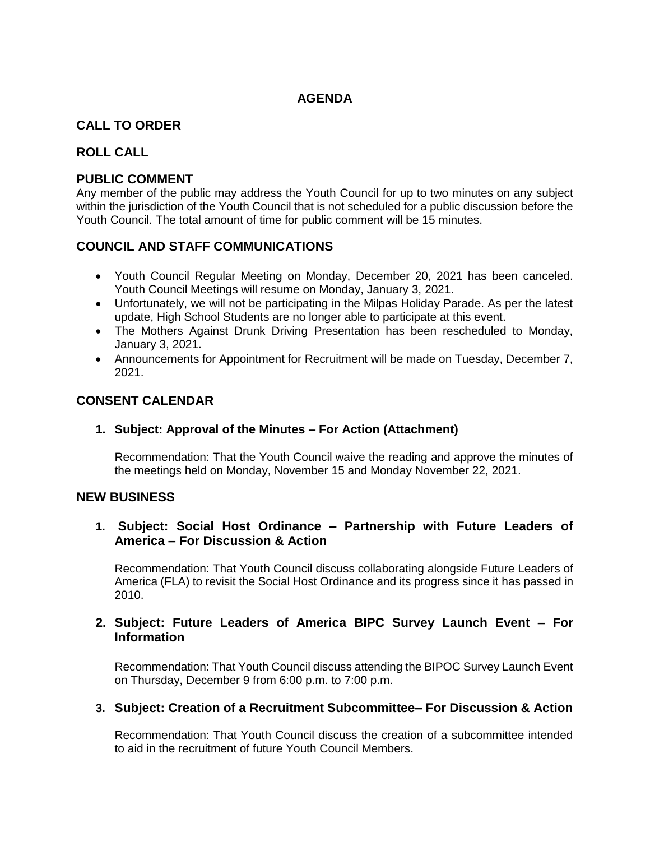## **AGENDA**

## **CALL TO ORDER**

## **ROLL CALL**

### **PUBLIC COMMENT**

Any member of the public may address the Youth Council for up to two minutes on any subject within the jurisdiction of the Youth Council that is not scheduled for a public discussion before the Youth Council. The total amount of time for public comment will be 15 minutes.

## **COUNCIL AND STAFF COMMUNICATIONS**

- Youth Council Regular Meeting on Monday, December 20, 2021 has been canceled. Youth Council Meetings will resume on Monday, January 3, 2021.
- Unfortunately, we will not be participating in the Milpas Holiday Parade. As per the latest update, High School Students are no longer able to participate at this event.
- The Mothers Against Drunk Driving Presentation has been rescheduled to Monday, January 3, 2021.
- Announcements for Appointment for Recruitment will be made on Tuesday, December 7, 2021.

## **CONSENT CALENDAR**

### **1. Subject: Approval of the Minutes – For Action (Attachment)**

Recommendation: That the Youth Council waive the reading and approve the minutes of the meetings held on Monday, November 15 and Monday November 22, 2021.

### **NEW BUSINESS**

## **1. Subject: Social Host Ordinance – Partnership with Future Leaders of America – For Discussion & Action**

Recommendation: That Youth Council discuss collaborating alongside Future Leaders of America (FLA) to revisit the Social Host Ordinance and its progress since it has passed in 2010.

## **2. Subject: Future Leaders of America BIPC Survey Launch Event – For Information**

Recommendation: That Youth Council discuss attending the BIPOC Survey Launch Event on Thursday, December 9 from 6:00 p.m. to 7:00 p.m.

### **3. Subject: Creation of a Recruitment Subcommittee– For Discussion & Action**

Recommendation: That Youth Council discuss the creation of a subcommittee intended to aid in the recruitment of future Youth Council Members.